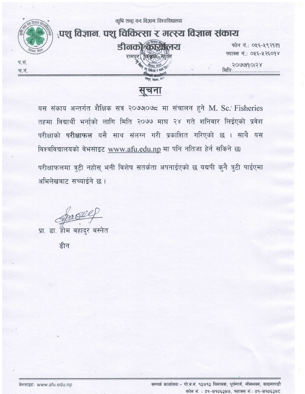

सुचना

यस संकाय अन्तर्गत शैक्षिक सत्र २०७७०७८ मा संचालन हुने M. Sc. Fisheries तहमा विद्यार्थी भर्नाको लागि मिति २०७७ माघ २४ गते शनिवार लिईएको प्रवेश परीक्षाको परीक्षाफल यसै साथ संलग्न गरी प्रकाशित गरिएको छ । साथै यस विश्वविद्यालयको वेभसाइट www.afu.edu.np मा पनि नतिजा हेर्न सकिने छ। परीक्षाफलमा त्रुटी नहोस् भनी विशेष सतर्कता अपनाईएको छ यद्यपी कुनै त्रुटी पाईएमा अभिलेखबाट सच्याईने छ ।

pace

प्रा. डा. होम बहादर बस्नेत

डीन